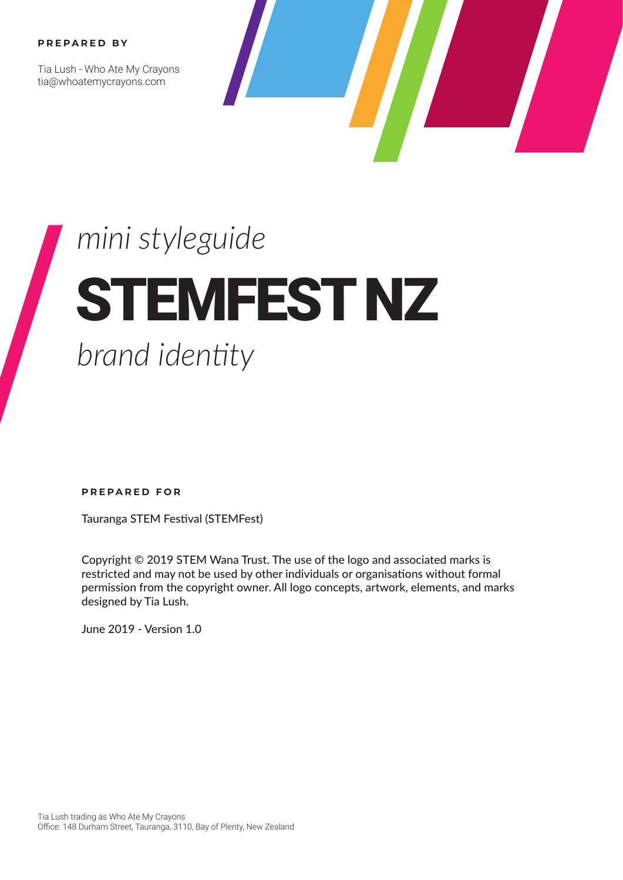#### **PREPARED BY**

Tia Lush - Who Ate My Crayons tia@whoatemycrayons.com



## *mini styleguide* STEMFEST NZ  *brand identity*

**PREPARED FOR**

Tauranga STEM Festival (STEMFest)

Copyright © 2019 STEM Wana Trust. The use of the logo and associated marks is restricted and may not be used by other individuals or organisations without formal permission from the copyright owner. All logo concepts, artwork, elements, and marks designed by Tia Lush.

June 2019 - Version 1.0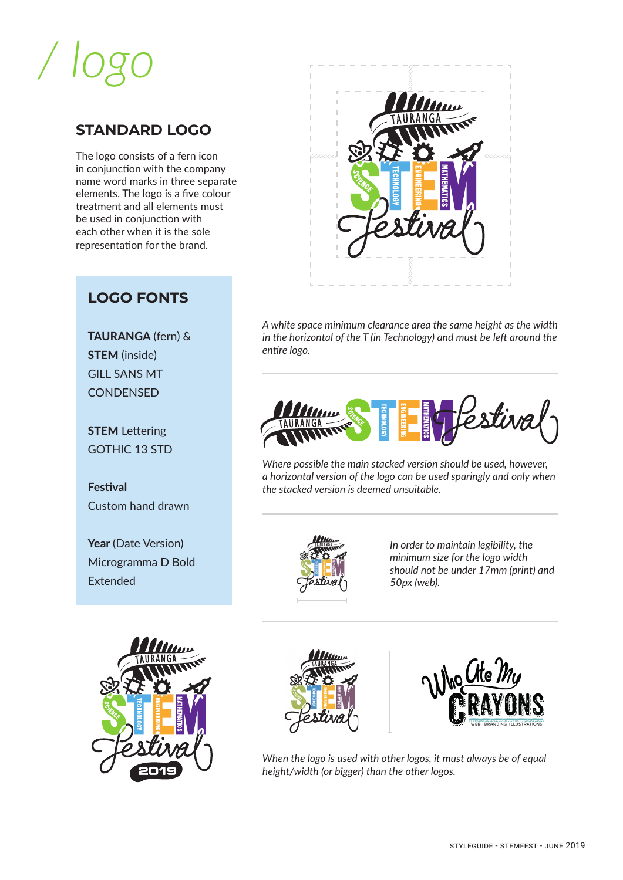# */ logo*

#### **STANDARD LOGO**

The logo consists of a fern icon in conjunction with the company name word marks in three separate elements. The logo is a five colour treatment and all elements must be used in conjunction with each other when it is the sole representation for the brand.

### **LOGO FONTS**

**TAURANGA** (fern) & **STEM** (inside) GILL SANS MT **CONDENSED** 

**STEM** Lettering GOTHIC 13 STD

**Festival** Custom hand drawn

**Year** (Date Version) Microgramma D Bold Extended



*A white space minimum clearance area the same height as the width in the horizontal of the T (in Technology) and must be left around the entire logo.*



*Where possible the main stacked version should be used, however, a horizontal version of the logo can be used sparingly and only when the stacked version is deemed unsuitable.*



*In order to maintain legibility, the minimum size for the logo width should not be under 17mm (print) and 50px (web).*







*When the logo is used with other logos, it must always be of equal height/width (or bigger) than the other logos.*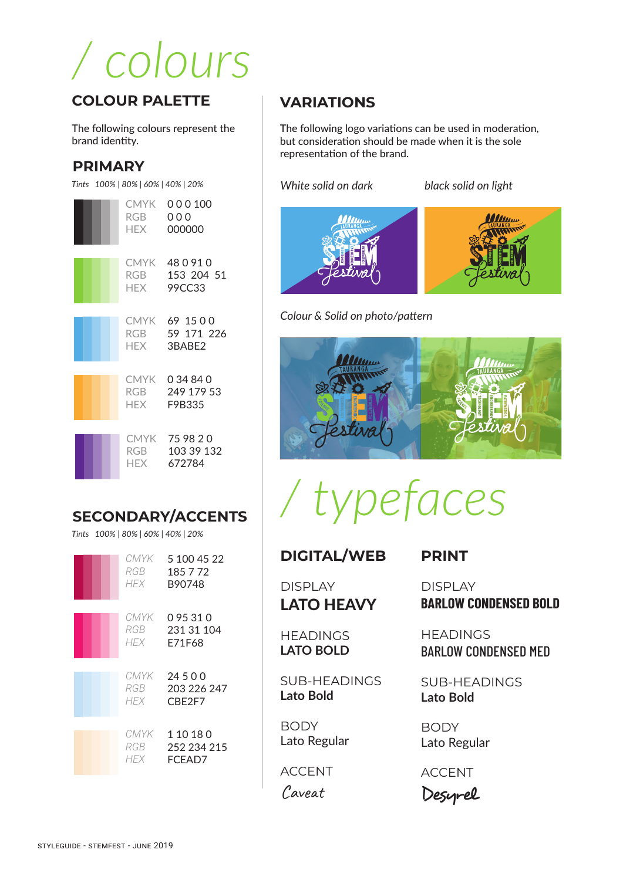# */ colours*

#### **COLOUR PALETTE**

The following colours represent the brand identity.

#### **PRIMARY**



### **SECONDARY/ACCENTS**

*Tints 100% | 80% | 60% | 40% | 20%*

| CMYK<br>RGB<br>HFX  | 5 100 45 22<br>185 7 72<br>B90748  |
|---------------------|------------------------------------|
| CMYK<br>RGB<br>HFX  | 0 95 31 0<br>231 31 104<br>E71F68  |
| CMYK<br>RGB<br>HFX. | 24500<br>203 226 247<br>CBE2F7     |
| CMYK<br>RGB<br>HEX  | 1 10 18 0<br>252 234 215<br>FCEAD7 |

#### **VARIATIONS**

The following logo variations can be used in moderation, but consideration should be made when it is the sole representation of the brand.

*White solid on dark black solid on light*





*Colour & Solid on photo/pattern*



*/ typefaces*

#### **DIGITAL/WEB**

DISPLAY LATO HEAVY

**HEADINGS LATO BOLD** 

SUB-HEADINGS **Lato Bold**

**BODY** Lato Regular

ACCENT

Caveat

DISPLAY

**PRINT**

**BARLOW CONDENSED BOLD**

**HFADINGS** BARLOW CONDENSED MED

SUB-HEADINGS **Lato Bold**

**BODY** Lato Regular

ACCENT

Desyrel